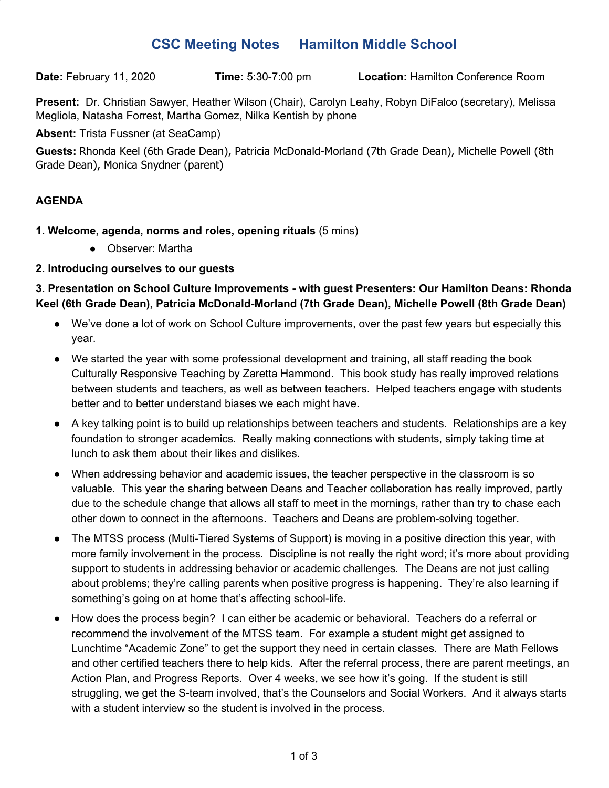## **CSC Meeting Notes Hamilton Middle School**

**Date:** February 11, 2020 **Time:** 5:30-7:00 pm **Location:** Hamilton Conference Room

**Present:** Dr. Christian Sawyer, Heather Wilson (Chair), Carolyn Leahy, Robyn DiFalco (secretary), Melissa Megliola, Natasha Forrest, Martha Gomez, Nilka Kentish by phone

**Absent:** Trista Fussner (at SeaCamp)

**Guests:** Rhonda Keel (6th Grade Dean), Patricia McDonald-Morland (7th Grade Dean), Michelle Powell (8th Grade Dean), Monica Snydner (parent)

## **AGENDA**

- **1. Welcome, agenda, norms and roles, opening rituals** (5 mins)
	- Observer: Martha

## **2. Introducing ourselves to our guests**

**3. Presentation on School Culture Improvements - with guest Presenters: Our Hamilton Deans: Rhonda Keel (6th Grade Dean), Patricia McDonald-Morland (7th Grade Dean), Michelle Powell (8th Grade Dean)**

- We've done a lot of work on School Culture improvements, over the past few years but especially this year.
- We started the year with some professional development and training, all staff reading the book Culturally Responsive Teaching by Zaretta Hammond. This book study has really improved relations between students and teachers, as well as between teachers. Helped teachers engage with students better and to better understand biases we each might have.
- A key talking point is to build up relationships between teachers and students. Relationships are a key foundation to stronger academics. Really making connections with students, simply taking time at lunch to ask them about their likes and dislikes.
- When addressing behavior and academic issues, the teacher perspective in the classroom is so valuable. This year the sharing between Deans and Teacher collaboration has really improved, partly due to the schedule change that allows all staff to meet in the mornings, rather than try to chase each other down to connect in the afternoons. Teachers and Deans are problem-solving together.
- The MTSS process (Multi-Tiered Systems of Support) is moving in a positive direction this year, with more family involvement in the process. Discipline is not really the right word; it's more about providing support to students in addressing behavior or academic challenges. The Deans are not just calling about problems; they're calling parents when positive progress is happening. They're also learning if something's going on at home that's affecting school-life.
- How does the process begin? I can either be academic or behavioral. Teachers do a referral or recommend the involvement of the MTSS team. For example a student might get assigned to Lunchtime "Academic Zone" to get the support they need in certain classes. There are Math Fellows and other certified teachers there to help kids. After the referral process, there are parent meetings, an Action Plan, and Progress Reports. Over 4 weeks, we see how it's going. If the student is still struggling, we get the S-team involved, that's the Counselors and Social Workers. And it always starts with a student interview so the student is involved in the process.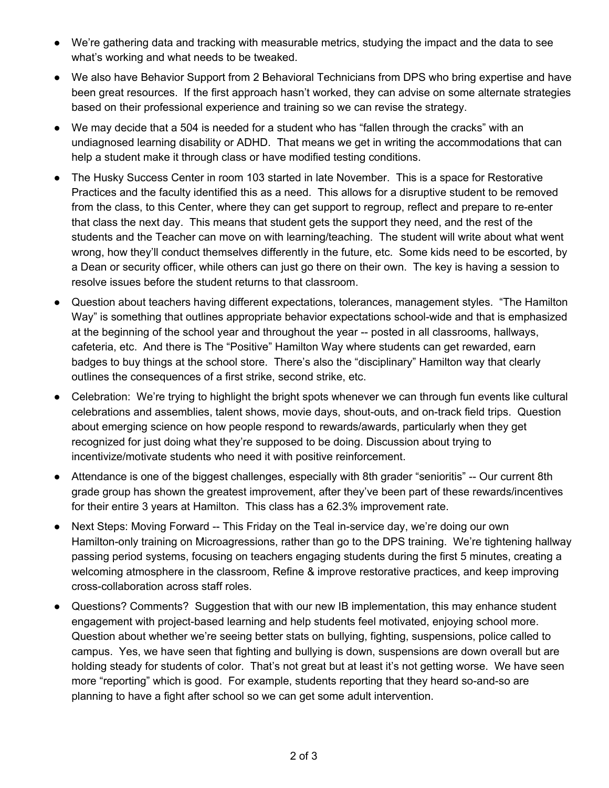- We're gathering data and tracking with measurable metrics, studying the impact and the data to see what's working and what needs to be tweaked.
- We also have Behavior Support from 2 Behavioral Technicians from DPS who bring expertise and have been great resources. If the first approach hasn't worked, they can advise on some alternate strategies based on their professional experience and training so we can revise the strategy.
- We may decide that a 504 is needed for a student who has "fallen through the cracks" with an undiagnosed learning disability or ADHD. That means we get in writing the accommodations that can help a student make it through class or have modified testing conditions.
- The Husky Success Center in room 103 started in late November. This is a space for Restorative Practices and the faculty identified this as a need. This allows for a disruptive student to be removed from the class, to this Center, where they can get support to regroup, reflect and prepare to re-enter that class the next day. This means that student gets the support they need, and the rest of the students and the Teacher can move on with learning/teaching. The student will write about what went wrong, how they'll conduct themselves differently in the future, etc. Some kids need to be escorted, by a Dean or security officer, while others can just go there on their own. The key is having a session to resolve issues before the student returns to that classroom.
- Question about teachers having different expectations, tolerances, management styles. "The Hamilton Way" is something that outlines appropriate behavior expectations school-wide and that is emphasized at the beginning of the school year and throughout the year -- posted in all classrooms, hallways, cafeteria, etc. And there is The "Positive" Hamilton Way where students can get rewarded, earn badges to buy things at the school store. There's also the "disciplinary" Hamilton way that clearly outlines the consequences of a first strike, second strike, etc.
- Celebration: We're trying to highlight the bright spots whenever we can through fun events like cultural celebrations and assemblies, talent shows, movie days, shout-outs, and on-track field trips. Question about emerging science on how people respond to rewards/awards, particularly when they get recognized for just doing what they're supposed to be doing. Discussion about trying to incentivize/motivate students who need it with positive reinforcement.
- Attendance is one of the biggest challenges, especially with 8th grader "senioritis" -- Our current 8th grade group has shown the greatest improvement, after they've been part of these rewards/incentives for their entire 3 years at Hamilton. This class has a 62.3% improvement rate.
- Next Steps: Moving Forward -- This Friday on the Teal in-service day, we're doing our own Hamilton-only training on Microagressions, rather than go to the DPS training. We're tightening hallway passing period systems, focusing on teachers engaging students during the first 5 minutes, creating a welcoming atmosphere in the classroom, Refine & improve restorative practices, and keep improving cross-collaboration across staff roles.
- Questions? Comments? Suggestion that with our new IB implementation, this may enhance student engagement with project-based learning and help students feel motivated, enjoying school more. Question about whether we're seeing better stats on bullying, fighting, suspensions, police called to campus. Yes, we have seen that fighting and bullying is down, suspensions are down overall but are holding steady for students of color. That's not great but at least it's not getting worse. We have seen more "reporting" which is good. For example, students reporting that they heard so-and-so are planning to have a fight after school so we can get some adult intervention.